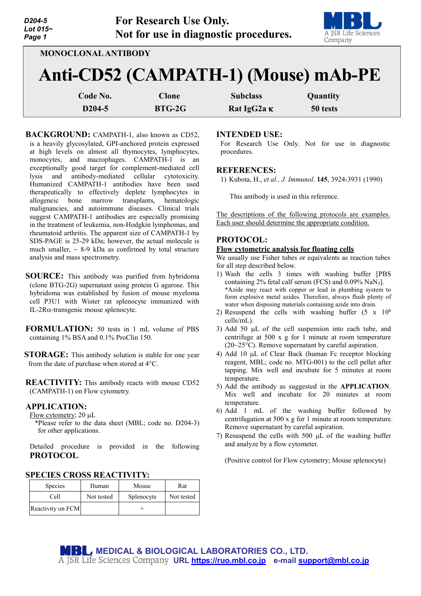| D <sub>204-5</sub><br>Lot 015~<br>Page 1                           |                                 | <b>For Research Use Only.</b> | Not for use in diagnostic procedures. | A JSR Life Sciences<br>Company |  |  |  |
|--------------------------------------------------------------------|---------------------------------|-------------------------------|---------------------------------------|--------------------------------|--|--|--|
| <b>MONOCLONAL ANTIBODY</b><br>Anti-CD52 (CAMPATH-1) (Mouse) mAb-PE |                                 |                               |                                       |                                |  |  |  |
|                                                                    | Code No.<br>D <sub>204</sub> -5 | <b>Clone</b><br>$BTG-2G$      | <b>Subclass</b><br>Rat IgG2a K        | Quantity<br>50 tests           |  |  |  |

- BACKGROUND: CAMPATH-1, also known as CD52, is a heavily glycosylated, GPI-anchored protein expressed at high levels on almost all thymocytes, lymphocytes, monocytes, and macrophages. CAMPATH-1 is an exceptionally good target for complement-mediated cell lysis and antibody-mediated cellular cytotoxicity. Humanized CAMPATH-1 antibodies have been used therapeutically to effectively deplete lymphocytes in allogeneic bone marrow transplants, hematologic malignancies, and autoimmune diseases. Clinical trials suggest CAMPATH-1 antibodies are especially promising in the treatment of leukemia, non-Hodgkin lymphomas, and rheumatoid arthritis. The apparent size of CAMPATH-1 by SDS-PAGE is 25-29 kDa; however, the actual molecule is much smaller,  $\sim$  8-9 kDa as confirmed by total structure analysis and mass spectrometry.
- **SOURCE:** This antibody was purified from hybridoma (clone BTG-2G) supernatant using protein G agarose. This hybridoma was established by fusion of mouse myeloma cell P3U1 with Wister rat splenocyte immunized with IL-2Rα-transgenic mouse splenocyte.
- **FORMULATION:** 50 tests in 1 mL volume of PBS containing 1% BSA and 0.1% ProClin 150.
- **STORAGE:** This antibody solution is stable for one year from the date of purchase when stored at 4°C.
- **REACTIVITY:** This antibody reacts with mouse CD52 (CAMPATH-1) on Flow cytometry.

### **APPLICATION:**

Flow cytometry; 20 µL

\*Please refer to the data sheet (MBL; code no. D204-3) for other applications.

Detailed procedure is provided in the following **PROTOCOL**.

### **SPECIES CROSS REACTIVITY:**

| <b>Species</b>    | Human      | Mouse      | Rat        |
|-------------------|------------|------------|------------|
| Cell              | Not tested | Splenocyte | Not tested |
| Reactivity on FCM |            |            |            |

### **INTENDED USE:**

For Research Use Only. Not for use in diagnostic procedures.

#### **REFERENCES:**

1) Kubota, H., *et al., J. Immunol*. **145**, 3924-3931 (1990)

This antibody is used in this reference.

The descriptions of the following protocols are examples. Each user should determine the appropriate condition.

## **PROTOCOL:**

### **Flow cytometric analysis for floating cells**

We usually use Fisher tubes or equivalents as reaction tubes for all step described below.

- 1) Wash the cells 3 times with washing buffer [PBS containing 2% fetal calf serum (FCS) and 0.09% NaN3]. \*Azide may react with copper or lead in plumbing system to form explosive metal azides. Therefore, always flush plenty of water when disposing materials containing azide into drain.
- 2) Resuspend the cells with washing buffer (5 x 106 cells/mL).
- 3) Add 50 µL of the cell suspension into each tube, and centrifuge at 500 x g for 1 minute at room temperature (20~25°C). Remove supernatant by careful aspiration.
- 4) Add 10 µL of Clear Back (human Fc receptor blocking reagent, MBL; code no. MTG-001) to the cell pellet after tapping. Mix well and incubate for 5 minutes at room temperature.
- 5) Add the antibody as suggested in the **APPLICATION**. Mix well and incubate for 20 minutes at room temperature.
- 6) Add 1 mL of the washing buffer followed by centrifugation at 500 x g for 1 minute at room temperature. Remove supernatant by careful aspiration.
- 7) Resuspend the cells with 500 µL of the washing buffer and analyze by a flow cytometer.

(Positive control for Flow cytometry; Mouse splenocyte)